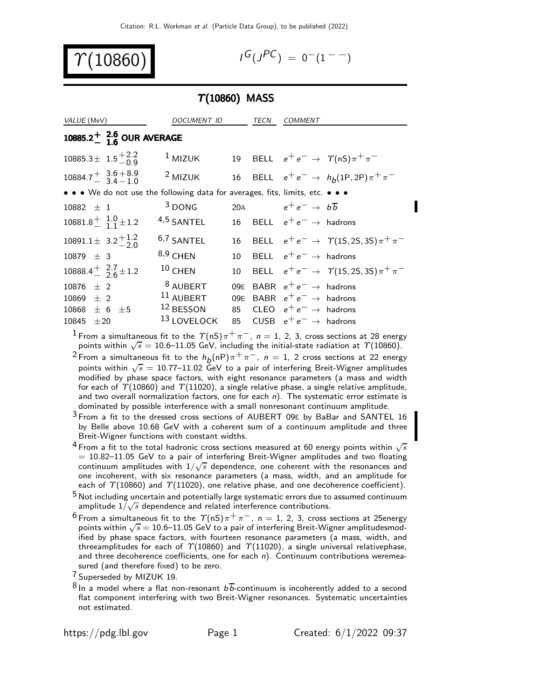10860

$$
I^G(J^{PC}) = 0^-(1^{--})
$$

#### $\Upsilon(10860)$  MASS

| VALUE (MeV)                                                                   | <i>DOCUMENT ID</i>                            |            | TECN | <b>COMMENT</b>                                                                                                 |                                                   |
|-------------------------------------------------------------------------------|-----------------------------------------------|------------|------|----------------------------------------------------------------------------------------------------------------|---------------------------------------------------|
| 10885.2 <sup>+</sup> $^{2.6}_{1.6}$ OUR AVERAGE                               |                                               |            |      |                                                                                                                |                                                   |
| $10885.3 \pm 1.5_{-0.9}^{+2.2}$                                               | $1$ MIZUK                                     |            |      |                                                                                                                | 19 BELL $e^+e^- \rightarrow \gamma(nS)\pi^+\pi^-$ |
| $10884.7 \frac{+}{-} 3.6 + 8.9$<br>3.4 - 1.0                                  | $2$ MIZUK                                     |            |      |                                                                                                                | 16 BELL $e^+e^- \to h_b(1P, 2P)\pi^+\pi^-$        |
| • • • We do not use the following data for averages, fits, limits, etc. • • • |                                               |            |      |                                                                                                                |                                                   |
| $10882 \pm 1$                                                                 | $3$ DONG                                      | 20A        |      | $e^+e^- \rightarrow b\overline{b}$                                                                             |                                                   |
| $10881.8^{+}_{-}$ $1.0^{+}_{1}$ $1.2^{+}$                                     | $4,5$ SANTEL                                  |            |      | 16 BELL $e^+e^- \rightarrow$ hadrons                                                                           |                                                   |
| 10891.1 $\pm$ 3.2 $^{+1.2}_{-2.0}$                                            | $6,7$ SANTEL                                  | 16         |      |                                                                                                                | BELL $e^+e^- \to \gamma(15, 25, 35)\pi^+\pi^-$    |
| $10879 \pm 3$                                                                 | $8,9$ CHEN                                    | 10         |      | BELL $e^+e^- \rightarrow$ hadrons                                                                              |                                                   |
| 10888.4 $\frac{1}{2}$ $\frac{2.7}{2.6}$ ± 1.2                                 | $10$ CHEN                                     | 10         |      |                                                                                                                | BELL $e^+e^- \to \gamma(15, 25, 35)\pi^+\pi^-$    |
| $10876 \pm 2$<br>$10869 \pm 2$<br>$10868 \pm 6 \pm 5$                         | <sup>8</sup> AUBERT<br>11 AUBERT<br>12 BESSON | 09E<br>09E |      | BABR $e^+e^- \rightarrow$ hadrons<br>BABR $e^+e^- \rightarrow$ hadrons<br>85 CLEO $e^+e^- \rightarrow$ hadrons |                                                   |
| 10845<br>$\pm 20$                                                             | 13 LOVELOCK                                   | 85         |      | CUSB $e^+e^- \rightarrow$ hadrons                                                                              |                                                   |

<sup>1</sup> From a simultaneous fit to the  $\Upsilon(nS)\pi^{+}\pi^{-}$ ,  $n=1, 2, 3$ , cross sections at 28 energy points within  $\sqrt{s}=10.6\text{--}11.05$  GeV, including the initial-state radiation at  $\varUpsilon(10860)$ .

 $^2$ From a simultaneous fit to the  $h^{}_{\textit{D}}(\mathsf{n}\mathsf{P})\pi^+\pi^-$ ,  $\textit{n}=1$ ,  $2$  cross sections at 22 energy points within  $\sqrt{s} = 10.77$ –11.02 GeV to a pair of interfering Breit-Wigner amplitudes modified by phase space factors, with eight resonance parameters (a mass and width for each of  $\gamma$ (10860) and  $\gamma$ (11020), a single relative phase, a single relative amplitude, and two overall normalization factors, one for each  $n$ ). The systematic error estimate is dominated by possible interference with a small nonresonant continuum amplitude.

 $3$  From a fit to the dressed cross sections of AUBERT 09E by BaBar and SANTEL 16 by Belle above 10.68 GeV with a coherent sum of a continuum amplitude and three Breit-Wigner functions with constant widths.

- <sup>4</sup> From a fit to the total hadronic cross sections measured at 60 energy points within  $\sqrt{s}$  $= 10.82 - 11.05$  GeV to a pair of interfering Breit-Wigner amplitudes and two floating continuum amplitudes with  $1/\sqrt{s}$  dependence, one coherent with the resonances and one incoherent, with six resonance parameters (a mass, width, and an amplitude for each of  $\Upsilon(10860)$  and  $\Upsilon(11020)$ , one relative phase, and one decoherence coefficient).
- $^5$  Not including uncertain and potentially large systematic errors due to assumed continuum  $\frac{1}{2}$  amplitude  $1/\sqrt{s}$  dependence and related interference contributions.
- <sup>6</sup> From a simultaneous fit to the  $\Upsilon(nS)\pi^{+}\pi^{-}$ ,  $n=1, 2, 3$ , cross sections at 25energy points within  $\sqrt{s} = 10.6$ –11.05 GeV to a pair of interfering Breit-Wigner amplitudesmodified by phase space factors, with fourteen resonance parameters (a mass, width, and threeamplitudes for each of  $\Upsilon(10860)$  and  $\Upsilon(11020)$ , a single universal relativephase, and three decoherence coefficients, one for each  $n$ ). Continuum contributions weremeasured (and therefore fixed) to be zero.

<sup>7</sup> Superseded by MIZUK 19.

 $8$  In a model where a flat non-resonant  $b\overline{b}$ -continuum is incoherently added to a second flat component interfering with two Breit-Wigner resonances. Systematic uncertainties not estimated.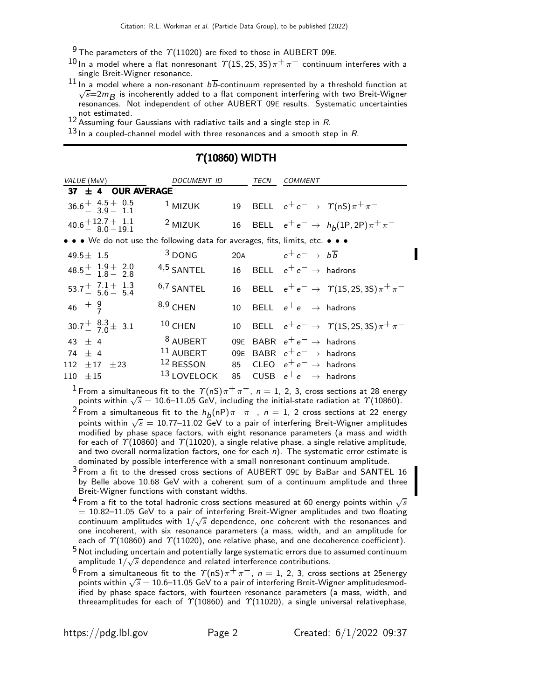$9$  The parameters of the  $\gamma$ (11020) are fixed to those in AUBERT 09E.

- $^{10}$ In a model where a flat nonresonant  $\varUpsilon$ (1S, 2S, 3S) $\pi^+\pi^-$  continuum interferes with a single Breit-Wigner resonance.
- $^{11}$  In a model where a non-resonant  $b\overline{b}$ -continuum represented by a threshold function at  $\sqrt{s}$ =2m $_B$  is incoherently added to a flat component interfering with two Breit-Wigner resonances. Not independent of other AUBERT 09E results. Systematic uncertainties not estimated.
- 12 Assuming four Gaussians with radiative tails and a single step in R.

 $13$  In a coupled-channel model with three resonances and a smooth step in R.

| <i>VALUE</i> (MeV)                                                            | DOCUMENT ID          |     | TECN | <b>COMMENT</b>                                    |
|-------------------------------------------------------------------------------|----------------------|-----|------|---------------------------------------------------|
| 37 $\pm$ 4 OUR AVERAGE                                                        |                      |     |      |                                                   |
| $36.6^{+}$ $4.5^{+}$ 0.5                                                      | $1$ MIZUK            |     |      | 19 BELL $e^+e^- \rightarrow \gamma(nS)\pi^+\pi^-$ |
| $40.6 + 12.7 + 1.1$<br>$8.0 - 19.1$                                           | $2$ MIZUK            | 16  |      | BELL $e^+e^- \rightarrow h_b(1P, 2P)\pi^+\pi^-$   |
| • • • We do not use the following data for averages, fits, limits, etc. • • • |                      |     |      |                                                   |
| $49.5 \pm 1.5$                                                                | $3$ DONG             | 20A |      | $h^+e^- \rightarrow h\overline{h}$                |
| $48.5^{+}$ $1.9^{+}$ 2.0                                                      | 4,5 SANTEL           | 16  |      | BELL $e^+e^- \rightarrow$ hadrons                 |
| $53.7^{+}$ $7.1^{+}$ 1.3<br>5.6 – 5.4                                         | 6,7 SANTEL           | 16  |      | BELL $e^+e^- \to \gamma(15, 25, 35)\pi^+\pi^-$    |
| $46^{+9}_{-7}$                                                                | $8,9$ CHEN           | 10  |      | BELL $e^+e^- \rightarrow$ hadrons                 |
| $30.7^{+}_{-}$ $\frac{8.3}{7.0}$ $\pm$ 3.1                                    | $10$ CHEN            | 10  |      | BELL $e^+e^- \to \gamma(1S, 2S, 3S)\pi^+\pi^-$    |
| 43 $\pm$ 4                                                                    | <sup>8</sup> AUBERT  | 09E |      | BABR $e^+e^- \rightarrow$ hadrons                 |
| $74 + 4$                                                                      | <sup>11</sup> AUBERT | 09E |      | BABR $e^+e^- \rightarrow$ hadrons                 |
| 112 $\pm$ 17<br>$+23$                                                         | 12 BESSON            | 85  |      | CLEO $e^+e^- \rightarrow$ hadrons                 |
| $110 \pm 15$                                                                  | $131$ OVELOCK        | 85  |      | CUSB $e^+e^- \rightarrow$ hadrons                 |

## $\Upsilon(10860)$  WIDTH

<sup>1</sup> From a simultaneous fit to the  $\Upsilon(nS)\pi^{+}\pi^{-}$ ,  $n=1, 2, 3$ , cross sections at 28 energy points within  $\sqrt{s} = 10.6$ –11.05 GeV, including the initial-state radiation at  $\gamma(10860)$ .

 $^2$ From a simultaneous fit to the  $h^{}_{\textit{D}}(\mathsf{n}\mathsf{P})\pi^+\pi^-$ ,  $\textit{n}=1$ ,  $2$  cross sections at 22 energy points within  $\sqrt{s} = 10.77$ –11.02 GeV to a pair of interfering Breit-Wigner amplitudes modified by phase space factors, with eight resonance parameters (a mass and width for each of  $\Upsilon(10860)$  and  $\Upsilon(11020)$ , a single relative phase, a single relative amplitude, and two overall normalization factors, one for each  $n$ ). The systematic error estimate is dominated by possible interference with a small nonresonant continuum amplitude.

3 From a fit to the dressed cross sections of AUBERT 09<sup>E</sup> by BaBar and SANTEL 16 by Belle above 10.68 GeV with a coherent sum of a continuum amplitude and three Breit-Wigner functions with constant widths.

<sup>4</sup> From a fit to the total hadronic cross sections measured at 60 energy points within  $\sqrt{s}$  $= 10.82 - 11.05$  GeV to a pair of interfering Breit-Wigner amplitudes and two floating continuum amplitudes with  $1/\sqrt{s}$  dependence, one coherent with the resonances and one incoherent, with six resonance parameters (a mass, width, and an amplitude for each of  $\Upsilon(10860)$  and  $\Upsilon(11020)$ , one relative phase, and one decoherence coefficient).

<sup>6</sup> From a simultaneous fit to the  $\Upsilon(nS)\pi^{+}\pi^{-}$ ,  $n=1, 2, 3$ , cross sections at 25energy points within  $\sqrt{s} = 10.6$ –11.05 GeV to a pair of interfering Breit-Wigner amplitudesmodified by phase space factors, with fourteen resonance parameters (a mass, width, and threeamplitudes for each of  $\Upsilon(10860)$  and  $\Upsilon(11020)$ , a single universal relativephase,

 $5$  Not including uncertain and potentially large systematic errors due to assumed continuum  $\frac{1}{2}$  amplitude  $1/\sqrt{s}$  dependence and related interference contributions.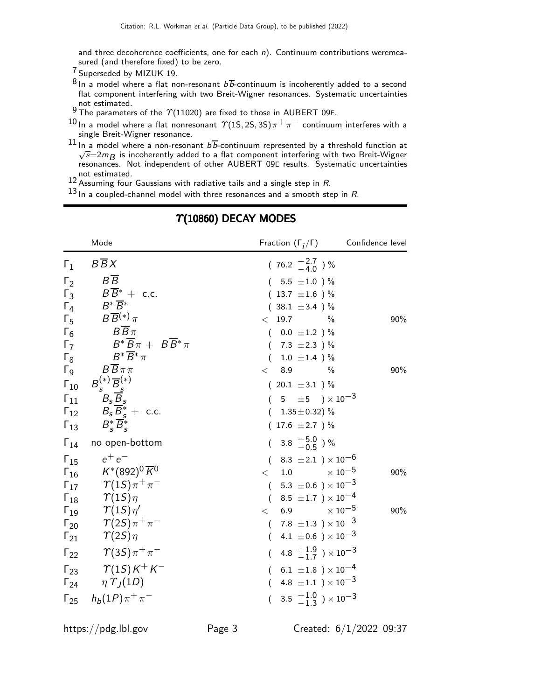and three decoherence coefficients, one for each  $n$ ). Continuum contributions weremeasured (and therefore fixed) to be zero.

7 Superseded by MIZUK 19.

- $8 \ln a$  model where a flat non-resonant  $b\overline{b}$ -continuum is incoherently added to a second flat component interfering with two Breit-Wigner resonances. Systematic uncertainties not estimated.
- 9 The parameters of the  $\gamma$ (11020) are fixed to those in AUBERT 09E.
- $10$  In a model where a flat nonresonant  $\gamma$ (1S, 2S, 3S) $\pi^+\pi^-$  continuum interferes with a single Breit-Wigner resonance.
- $^{11}$  In a model where a non-resonant  $b\overline{b}$ -continuum represented by a threshold function at  $\sqrt{s}$ =2m<sub>B</sub> is incoherently added to a flat component interfering with two Breit-Wigner resonances. Not independent of other AUBERT 09E results. Systematic uncertainties not estimated.

12 Assuming four Gaussians with radiative tails and a single step in R.

 $13$  In a coupled-channel model with three resonances and a smooth step in R.

|               | Mode                                                        | Fraction $(\Gamma_i/\Gamma)$ Confidence level     |     |
|---------------|-------------------------------------------------------------|---------------------------------------------------|-----|
| $\Gamma_1$    | $B\overline{B}X$                                            | $(76.2 \frac{+2.7}{-4.0})$ %                      |     |
| $\Gamma_2$    | $B\overline{B}$                                             | $(5.5 \pm 1.0)$ %                                 |     |
|               | $\Gamma_3$ $B\overline{B}^*$ + c.c.                         | $(13.7 \pm 1.6)$ %                                |     |
| $\Gamma_4$    | $B^*\overline{B^*}$                                         | $(38.1 \pm 3.4)$ %                                |     |
| $\Gamma_5$    | $B\overline{B}^{(*)}\pi$                                    | $<$ 19.7<br>$\frac{0}{0}$                         | 90% |
| $\Gamma_6$    | $B\overline{B}\pi$                                          | $(0.0 \pm 1.2) \%$                                |     |
| $\Gamma_7$    | $B^*\,\overline{\!B}\,\pi\,+\,\,B\,\overline{\!B}{}^*\,\pi$ | $(7.3 \pm 2.3)$ %                                 |     |
| $\Gamma_8$    | $B^*\overline{B}^*\pi$                                      | $(1.0 \pm 1.4)$ %                                 |     |
|               | $\Gamma_9$ $B\overline{B}\pi\pi$                            | 8.9<br>$\%$<br>$\lt$                              | 90% |
| $\Gamma_{10}$ | $B_s^{(*)}\overline{B}_s^{(*)}$<br>$B_s\overline{B}_s$      | $(20.1 \pm 3.1)$ %                                |     |
| $\Gamma_{11}$ |                                                             | $(5 \pm 5) \times 10^{-3}$                        |     |
|               | $\Gamma_{12}$ $B_s \overline{B}_s^* + \text{c.c.}$          | $(1.35 \pm 0.32)$ %                               |     |
|               | $F_{13}$ $B_{s}^{*}B_{s}^{*}$                               | $(17.6 \pm 2.7)$ %                                |     |
|               | $\Gamma_{14}$ no open-bottom                                | $(3.8 \tfrac{+5.0}{-0.5})\%$                      |     |
|               | $\Gamma_{15}$ $e^+e^-$                                      | $(8.3 \pm 2.1) \times 10^{-6}$                    |     |
|               | $\Gamma_{16}$ $K^*(892)^0 \overline{K}^0$                   | $<$ 1.0 $\times 10^{-5}$                          | 90% |
|               | $\Gamma_{17}$ $\gamma(1S)\pi^{+}\pi^{-}$                    | $(-5.3 \pm 0.6) \times 10^{-3}$                   |     |
|               | $\Gamma_{18}$ $\gamma(1S)\eta$                              | $(8.5 \pm 1.7) \times 10^{-4}$                    |     |
|               | $\Gamma_{19}$ $\gamma(15)\eta'$                             | $<\phantom{00}6.9\phantom{0000000}\times 10^{-5}$ | 90% |
|               | $\Gamma_{20}$ $\gamma(2S)\pi^{+}\pi^{-}$                    | $(7.8 \pm 1.3) \times 10^{-3}$                    |     |
|               | $\Gamma_{21}$ $\gamma(2S)\eta$                              | $(4.1 \pm 0.6) \times 10^{-3}$                    |     |
|               | $\Gamma_{22}$ $\gamma(3S)\pi^{+}\pi^{-}$                    | $(4.8 \frac{+1.9}{-1.7}) \times 10^{-3}$          |     |
|               | $\Gamma_{23}$ $\gamma(1S)K^{+}K^{-}$                        | $(6.1 \pm 1.8) \times 10^{-4}$                    |     |
|               | $\Gamma_{24}$ $\eta \Upsilon_J(1D)$                         | $(4.8 \pm 1.1) \times 10^{-3}$                    |     |
|               | $\Gamma_{25}$ $h_b(1P)\pi^+\pi^-$                           | $(3.5 \tfrac{+1.0}{-1.3}) \times 10^{-3}$         |     |

# $\Upsilon(10860)$  DECAY MODES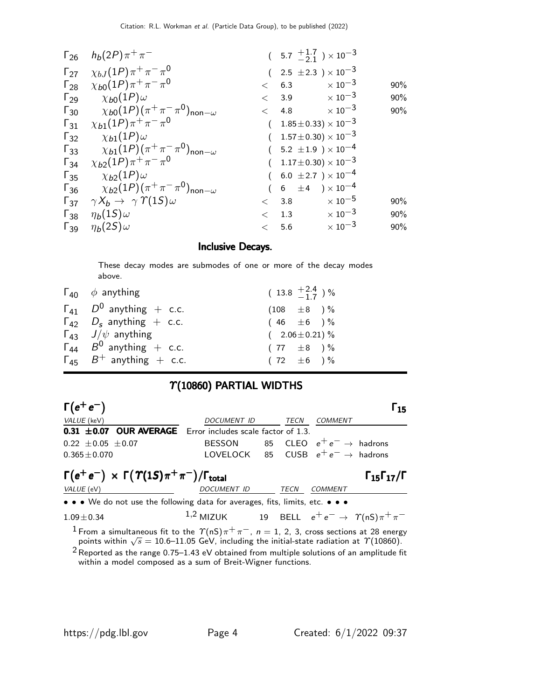|                        | $\Gamma_{26}$ $h_b(2P)\pi^+\pi^-$                                        |         |     | $(5.7 \frac{+1.7}{-2.1}) \times 10^{-3}$ |     |
|------------------------|--------------------------------------------------------------------------|---------|-----|------------------------------------------|-----|
| $\Gamma_{27}$          | $\chi_{bJ}(1P)\pi^+\pi^-\pi^0$                                           |         |     | $(2.5 \pm 2.3) \times 10^{-3}$           |     |
| $\mathsf{\Gamma}_{28}$ | $\chi_{b0}(1P)\pi^+\pi^-\pi^0$                                           | $\lt$   | 6.3 | $\times$ 10 $^{-3}$                      | 90% |
| $\Gamma_{29}$          | $\chi_{b0}(1P)$ $\omega$                                                 | $\lt$   | 3.9 | $\times$ 10 $^{-3}$                      | 90% |
|                        | $\Gamma_{30}$ $\chi_{b0}(1P)(\pi^{+}\pi^{-}\pi^{0})_{\text{non}-\omega}$ |         |     | $< 4.8 \times 10^{-3}$                   | 90% |
| $\mathsf{\Gamma}_{31}$ | $\chi_{b1}(1P)\pi^{+}\pi^{-}\pi^{0}$                                     |         |     | $1.85 \pm 0.33 \times 10^{-3}$           |     |
| $\Gamma_{32}$          | $\chi_{b1}(1P)\omega$                                                    |         |     | $(1.57 \pm 0.30) \times 10^{-3}$         |     |
| $\Gamma_{33}$          | $\chi_{b1}(1P)(\pi^+\pi^-\pi^0)_{\mathsf{non}-\omega}$                   |         |     | $(5.2 \pm 1.9) \times 10^{-4}$           |     |
|                        | $\Gamma_{34}$ $\chi_{b2}(1P)\pi^{+}\pi^{-}\pi^{0}$                       |         |     | $(1.17 \pm 0.30) \times 10^{-3}$         |     |
|                        | $\Gamma_{35}$ $\chi_{b2}(1P)\omega$                                      |         |     | $(6.0 \pm 2.7) \times 10^{-4}$           |     |
| $\Gamma_{36}$          | $\chi_{b2}(1P)(\pi^+\pi^-\pi^0)_{\mathsf{non}-\omega}$                   |         |     | $(6 \pm 4) \times 10^{-4}$               |     |
|                        | $\Gamma_{37}$ $\gamma X_b \rightarrow \gamma \Upsilon(15) \omega$        |         |     | $\times$ 10 $^{-5}$<br>< 3.8             | 90% |
|                        | $\Gamma_{38}$ $\eta_b(15)\omega$                                         | $\,<\,$ | 1.3 | $\times$ 10 $^{-3}$                      | 90% |
|                        | $\Gamma_{39}$ $\eta_b(2S)\omega$                                         | $\lt$   | 5.6 | $\times$ 10 $^{-3}$                      | 90% |

### Inclusive Decays.

These decay modes are submodes of one or more of the decay modes above.

| $\Gamma_{40}$ $\phi$ anything       | $(13.8 \tfrac{+2.4}{-1.7})\%$ |
|-------------------------------------|-------------------------------|
| $\Gamma_{41}$ $D^0$ anything + c.c. | $(108 \pm 8) \%$              |
| $\Gamma_{42}$ $D_s$ anything + c.c. | $(46 \pm 6)$ %                |
| $\Gamma_{43}$ $J/\psi$ anything     | $(2.06 \pm 0.21)\%$           |
| $\Gamma_{44}$ $B^0$ anything + c.c. | $(77 \pm 8)$ %                |
| $\Gamma_{45}$ $B^+$ anything + c.c. | $(72 \pm 6) \%$               |

## $\Upsilon(10860)$  PARTIAL WIDTHS

| $\Gamma(e^+e^-)$                                                              |                                                                                                 |             |         | 15                              |
|-------------------------------------------------------------------------------|-------------------------------------------------------------------------------------------------|-------------|---------|---------------------------------|
| VALUE (keV)                                                                   | DOCUMENT ID                                                                                     | TECN        | COMMENT |                                 |
| $0.31$ $\pm 0.07$ OUR AVERAGE Error includes scale factor of 1.3.             |                                                                                                 |             |         |                                 |
| $0.22 \pm 0.05 \pm 0.07$                                                      | BESSON 65 CLEO $e^+e^- \rightarrow$ hadrons                                                     |             |         |                                 |
| $0.365 \pm 0.070$                                                             | LOVELOCK 85 CUSB $e^+e^- \rightarrow$ hadrons                                                   |             |         |                                 |
| $\Gamma(e^+e^-) \times \Gamma(\Upsilon(1S)\pi^+\pi^-)/\Gamma_{\text{total}}$  |                                                                                                 |             |         | $\Gamma_{15}\Gamma_{17}/\Gamma$ |
| VALUE (eV)                                                                    | <i>DOCUMENT ID</i>                                                                              | <b>TECN</b> | COMMENT |                                 |
| • • • We do not use the following data for averages, fits, limits, etc. • • • |                                                                                                 |             |         |                                 |
| $1.09 \pm 0.34$                                                               | 1,2 MIZUK 19 BELL $e^+e^- \rightarrow \gamma(nS)\pi^+\pi^-$                                     |             |         |                                 |
|                                                                               | $1$ Erom a simultaneous fit to the $\gamma(nS) + \pi = n - 1, 2, 3$ cross sections at 28 energy |             |         |                                 |

From a simultaneous fit to the  $\Upsilon(nS)\pi^+\pi^-$ ,  $n=1, 2, 3$ , cross sections at 28 energy points within  $\sqrt{s} = 10.6$ –11.05 GeV, including the initial-state radiation at  $\gamma(10860)$ .

 $2$  Reported as the range 0.75–1.43 eV obtained from multiple solutions of an amplitude fit within a model composed as a sum of Breit-Wigner functions.

 $\sim$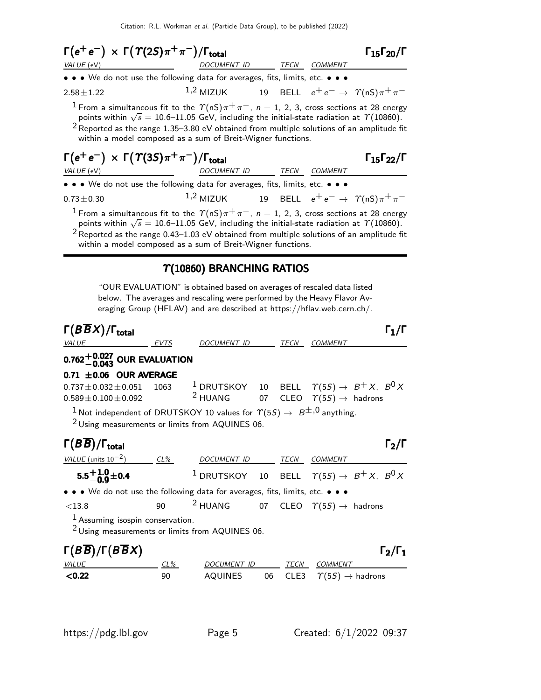$$
\Gamma(e^+e^-) \times \Gamma(\Upsilon(2S)\pi^+\pi^-)/\Gamma_{\text{total}}
$$
\n
$$
\Gamma_{15}\Gamma_{20}/\Gamma
$$
\n
$$
\frac{DOCUMENT ID}{DOCUMENT ID} \frac{TECN}{TECN} \frac{COMMENT}{COMMENT}
$$
\n
$$
\frac{1,2}{1,2}
$$
\n
$$
\frac{1,2}{1,2}
$$
\n
$$
\frac{1,2}{1,2}
$$
\n
$$
\frac{1,2}{1,2}
$$
\n
$$
\frac{1,2}{1,2}
$$
\n
$$
\frac{1,2}{1,2}
$$
\n
$$
\frac{1,2}{1,2}
$$
\n
$$
\frac{1,2}{1,2}
$$
\n
$$
\frac{1,2}{1,2}
$$
\n
$$
\frac{1,2}{1,2}
$$
\n
$$
\frac{1,2}{1,2}
$$
\n
$$
\frac{1,2}{1,2}
$$
\n
$$
\frac{1,2}{1,2}
$$
\n
$$
\frac{1,2}{1,2}
$$
\n
$$
\frac{1,2}{1,2}
$$
\n
$$
\frac{1,2}{1,2}
$$
\n
$$
\frac{1,2}{1,2}
$$
\n
$$
\frac{1,2}{1,2}
$$
\n
$$
\frac{1,2}{1,2}
$$
\n
$$
\frac{1,2}{1,2}
$$
\n
$$
\frac{1,2}{1,2}
$$
\n
$$
\frac{1,2}{1,2}
$$
\n
$$
\frac{1,2}{1,2}
$$
\n
$$
\frac{1,2}{1,2}
$$
\n
$$
\frac{1,2}{1,2}
$$
\n
$$
\frac{1,2}{1,2}
$$
\n
$$
\frac{1,2}{1,2}
$$
\n
$$
\frac{1,2}{1,2}
$$
\n
$$
\frac{1,2}{1,2}
$$
\n
$$
\frac{1,2}{1,2}
$$
\n
$$
\frac{1,2}{1,2}
$$
\n
$$
\frac{1,2}{1,2}
$$
\n
$$
\frac{1,2}{1,2}
$$
\n
$$
\frac{1,2}{1,2}
$$
\n
$$
\frac{1,2}{1,2
$$

 $2$  Reported as the range 1.35–3.80 eV obtained from multiple solutions of an amplitude fit within a model composed as a sum of Breit-Wigner functions.

### $\Gamma(e^+e^-) \times \Gamma(\Upsilon(3S)\pi^+\pi^-)/\Gamma_{\rm total}$  Γ<sub>15</sub>Γ<sub>22</sub>/Γ VALUE (eV)  $DOCUMENT$  ID TECN COMMENT

 $\Gamma_{15}\Gamma_{22}/\Gamma$ 

• • • We do not use the following data for averages, fits, limits, etc. • • •

0.73 $\pm$ 0.30 1,2 MIZUK 19 BELL  $e^+e^- \rightarrow \gamma(nS)\pi^+\pi^-$ 

<sup>1</sup> From a simultaneous fit to the  $\Upsilon(nS)\pi^+\pi^-, \ n=1, \ 2, \ 3, \text{ cross sections at } 28 \text{ energy}$ points within  $\sqrt{s} = 10.6$ –11.05 GeV, including the initial-state radiation at  $\gamma$ (10860).

<sup>2</sup> Reported as the range 0.43–1.03 eV obtained from multiple solutions of an amplitude fit within a model composed as a sum of Breit-Wigner functions.

### Υ(10860) BRANCHING RATIOS

"OUR EVALUATION" is obtained based on averages of rescaled data listed below. The averages and rescaling were performed by the Heavy Flavor Averaging Group (HFLAV) and are described at https://hflav.web.cern.ch/.

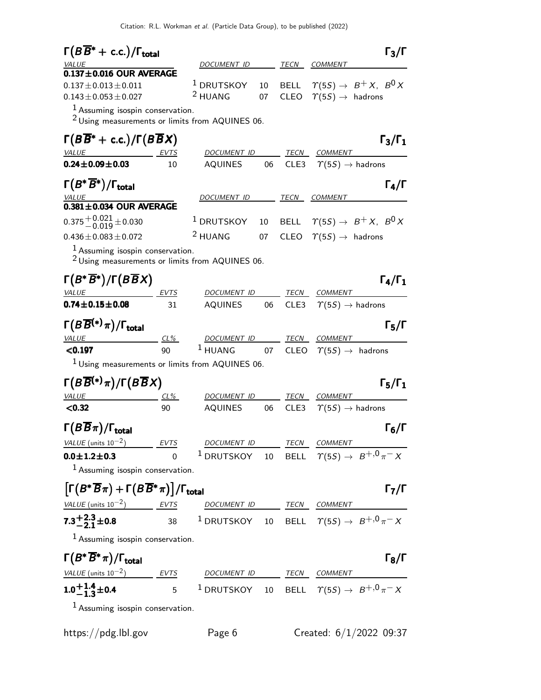| $\Gamma(B\overline{B}^*+c.c.)/\Gamma_{\rm total}$                                                |                   |                                                                          |          |                  |                                                      | $\Gamma_3/\Gamma$                               |
|--------------------------------------------------------------------------------------------------|-------------------|--------------------------------------------------------------------------|----------|------------------|------------------------------------------------------|-------------------------------------------------|
| VALUE                                                                                            |                   | DOCUMENT ID                                                              |          |                  | TECN COMMENT                                         |                                                 |
| $0.137 \pm 0.016$ OUR AVERAGE<br>$0.137 \pm 0.013 \pm 0.011$<br>$0.143 \pm 0.053 \pm 0.027$      |                   | $^1$ DRUTSKOY<br><sup>2</sup> HUANG                                      | 10<br>07 | CLEO             | $\Upsilon(5S) \rightarrow$ hadrons                   | BELL $\Upsilon(5S) \rightarrow B^+ X$ , $B^0 X$ |
| $1$ Assuming isospin conservation.<br>$2$ Using measurements or limits from AQUINES 06.          |                   |                                                                          |          |                  |                                                      |                                                 |
| $\Gamma(B\overline{B}^*+c.c.)/\Gamma(B\overline{B}X)$<br><b>VALUE</b>                            | EVTS              | DOCUMENT ID                                                              |          | TECN             | <b>COMMENT</b>                                       | $\Gamma_3/\Gamma_1$                             |
| $0.24 \pm 0.09 \pm 0.03$                                                                         | 10                | <b>AQUINES</b>                                                           | 06       | CLE3             | $\Upsilon(55) \rightarrow$ hadrons                   |                                                 |
| $\Gamma(B^*\overline{B}{}^*)/\Gamma_{\rm total}$<br><b>VALUE</b>                                 |                   | DOCUMENT ID                                                              |          | TECN             | <b>COMMENT</b>                                       | $\Gamma_4/\Gamma$                               |
| $0.381 \pm 0.034$ OUR AVERAGE                                                                    |                   |                                                                          |          |                  |                                                      |                                                 |
| $0.375 + 0.021 + 0.030$                                                                          |                   | <sup>1</sup> DRUTSKOY                                                    | 10       | <b>BELL</b>      |                                                      | $\varUpsilon(5S) \rightarrow B^{+}X,~B^{0}X$    |
| $0.436 \pm 0.083 \pm 0.072$                                                                      |                   | <sup>2</sup> HUANG                                                       | 07       |                  | CLEO $\ \ \Upsilon(5S) \rightarrow \ \text{hadrons}$ |                                                 |
| $1$ Assuming isospin conservation.<br><sup>2</sup> Using measurements or limits from AQUINES 06. |                   |                                                                          |          |                  |                                                      |                                                 |
| $\Gamma(B^*\overline{B}^*)/\Gamma(B\overline{B}X)$                                               |                   |                                                                          |          |                  |                                                      | $\Gamma_4/\Gamma_1$                             |
| VALUE<br>$0.74 \pm 0.15 \pm 0.08$                                                                | <u>EVTS</u><br>31 | DOCUMENT ID<br><b>AQUINES</b>                                            | 06       | TECN<br>CLE3     | <b>COMMENT</b><br>$\Upsilon(5S) \rightarrow$ hadrons |                                                 |
| $\Gamma(B\overline{B}{}^{(*)}\pi)/\Gamma_{\rm total}$<br>VALUE                                   | CL%               | DOCUMENT ID                                                              |          | <b>TECN</b>      | <b>COMMENT</b>                                       | $\Gamma_5/\Gamma$                               |
| < 0.197                                                                                          | 90                | $1$ HUANG                                                                | 07       | <b>CLEO</b>      | $\varUpsilon(5S) \rightarrow$ hadrons                |                                                 |
| <sup>1</sup> Using measurements or limits from AQUINES 06.                                       |                   |                                                                          |          |                  |                                                      |                                                 |
| $\Gamma(B\overline{B}^{(*)}\pi)/\Gamma(B\overline{B}X)$                                          |                   |                                                                          |          |                  |                                                      | $\Gamma_5/\Gamma_1$                             |
| VALUE                                                                                            | <u>CL%</u>        | DOCUMENT ID                                                              |          | TECN             | <b>COMMENT</b>                                       |                                                 |
| < 0.32                                                                                           | 90                | <b>AQUINES</b>                                                           | 06       | CLE <sub>3</sub> | $\Upsilon(5S) \rightarrow$ hadrons                   |                                                 |
| $\Gamma(B\overline{B}\pi)/\Gamma_{\rm total}$                                                    |                   |                                                                          |          |                  |                                                      | $\Gamma_6/\Gamma$                               |
| VALUE (units $10^{-2}$ ) EVTS                                                                    |                   | DOCUMENT ID TECN COMMENT                                                 |          |                  |                                                      |                                                 |
| $0.0 \pm 1.2 \pm 0.3$<br>$1$ Assuming isospin conservation.                                      | $\Omega$          | <sup>1</sup> DRUTSKOY 10 BELL $\Upsilon(5S) \rightarrow B^{+,0} \pi^- X$ |          |                  |                                                      |                                                 |
| $\left[\Gamma(B^*\overline{B}\pi)+\Gamma(B\overline{B}^*\pi)\right]/\Gamma_{\text{total}}$       |                   |                                                                          |          |                  |                                                      | $\Gamma_7/\Gamma$                               |
| $VALUE (units 10-2)$ EVTS DOCUMENT ID TECN COMMENT                                               |                   |                                                                          |          |                  |                                                      |                                                 |
| $7.3^{+2.3}_{-2.1}$ ±0.8                                                                         |                   | 38 $^1$ DRUTSKOY 10 BELL $\varUpsilon(5S) \to \, B^{+,0} \, \pi^- \, X$  |          |                  |                                                      |                                                 |
| $1$ Assuming isospin conservation.                                                               |                   |                                                                          |          |                  |                                                      |                                                 |
| $\Gamma(B^*\overline{B}^*\pi)/\Gamma_{\rm total}$                                                |                   |                                                                          |          |                  |                                                      | $\Gamma_8/\Gamma$                               |
| $VALUE (units 10-2)$ EVTS DOCUMENT ID TECN COMMENT                                               |                   |                                                                          |          |                  |                                                      |                                                 |
| $1.0^{+1.4}_{-1.3}$ ± 0.4                                                                        |                   | 5 $^1$ DRUTSKOY 10 BELL $\varUpsilon(5S) \to \, B^{+,0} \, \pi^- \, X$   |          |                  |                                                      |                                                 |
| $1$ Assuming isospin conservation.                                                               |                   |                                                                          |          |                  |                                                      |                                                 |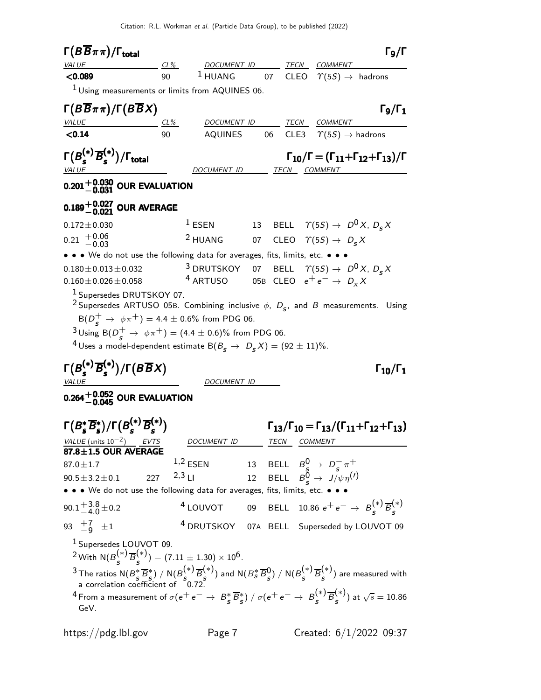Citation: R.L. Workman et al. (Particle Data Group), to be published (2022)

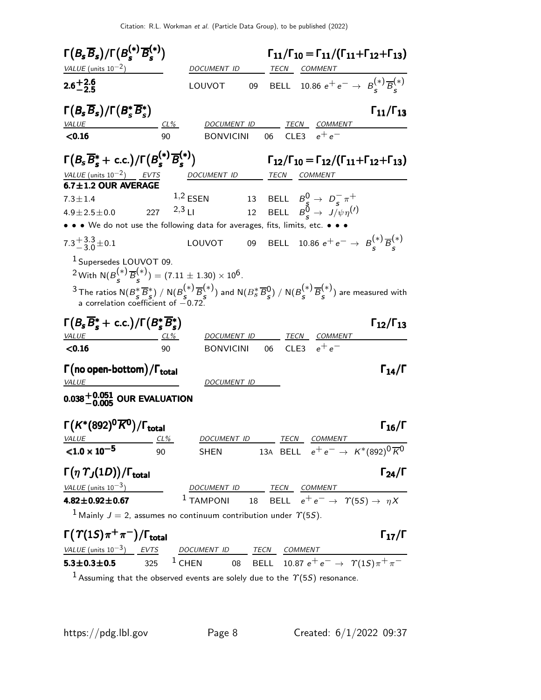

<sup>1</sup> Assuming that the observed events are solely due to the  $\Upsilon(5S)$  resonance.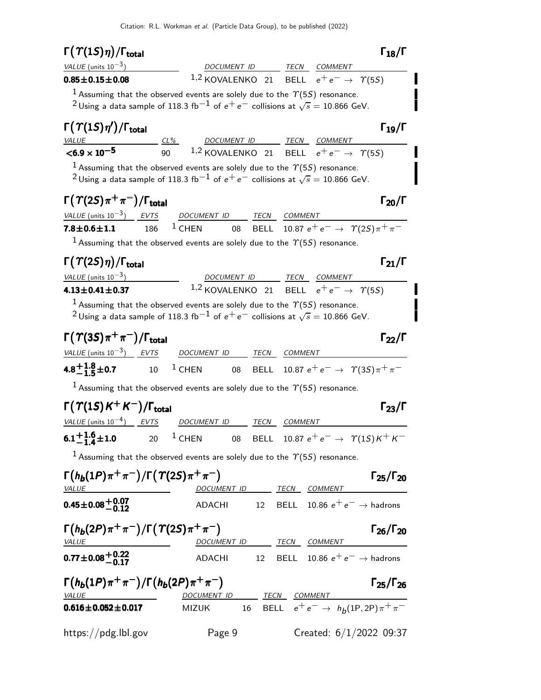| $\Gamma(\Upsilon(1S)\eta)/\Gamma_{\rm total}$                                                                                                                                                                  |     |                                                                                                              |                                                                               |         |                                              | $\Gamma_{18}/\Gamma$                                                                                                                  |
|----------------------------------------------------------------------------------------------------------------------------------------------------------------------------------------------------------------|-----|--------------------------------------------------------------------------------------------------------------|-------------------------------------------------------------------------------|---------|----------------------------------------------|---------------------------------------------------------------------------------------------------------------------------------------|
| VALUE (units $10^{-3}$ )                                                                                                                                                                                       |     |                                                                                                              | DOCUMENT ID TECN COMMENT                                                      |         |                                              |                                                                                                                                       |
| $0.85 \pm 0.15 \pm 0.08$                                                                                                                                                                                       |     |                                                                                                              | 1,2 KOVALENKO 21 BELL $e^+e^- \rightarrow \gamma(55)$                         |         |                                              |                                                                                                                                       |
| $^1$ Assuming that the observed events are solely due to the $\varUpsilon(5S)$ resonance.                                                                                                                      |     |                                                                                                              |                                                                               |         |                                              |                                                                                                                                       |
| <sup>2</sup> Using a data sample of 118.3 fb <sup>-1</sup> of $e^+e^-$ collisions at $\sqrt{s} = 10.866$ GeV.                                                                                                  |     |                                                                                                              |                                                                               |         |                                              |                                                                                                                                       |
| $\Gamma(\Upsilon(1S)\eta')/\Gamma_{\rm total}$                                                                                                                                                                 |     |                                                                                                              |                                                                               |         |                                              | $\Gamma_{19}/\Gamma$                                                                                                                  |
| $<$ 6.9 $\times$ 10 <sup>-5</sup>                                                                                                                                                                              |     | $\frac{CL\%}{90}$ $\frac{DOCUMENT ID}{1,2}$ $\frac{TECN}{ELL}$ $\frac{COMMENT}{e^+ e^-}$ $\frac{CDMMENT}{C}$ |                                                                               |         |                                              |                                                                                                                                       |
| $^1$ Assuming that the observed events are solely due to the $\varUpsilon(55)$ resonance.<br><sup>2</sup> Using a data sample of 118.3 fb <sup>-1</sup> of $e^+e^-$ collisions at $\sqrt{s} = 10.866$ GeV.     |     |                                                                                                              |                                                                               |         |                                              |                                                                                                                                       |
| $\Gamma(\Upsilon(2S)\pi^+\pi^-)/\Gamma_{\rm total}$                                                                                                                                                            |     |                                                                                                              |                                                                               |         |                                              | $\Gamma_{20}/\Gamma$                                                                                                                  |
| VALUE (units $10^{-3}$ ) EVTS                                                                                                                                                                                  |     |                                                                                                              | DOCUMENT ID TECN COMMENT                                                      |         |                                              |                                                                                                                                       |
| $7.8 \pm 0.6 \pm 1.1$                                                                                                                                                                                          | 186 | $1$ CHEN 08                                                                                                  |                                                                               |         | BELL 10.87 $e^+e^- \to \gamma(2S)\pi^+\pi^-$ |                                                                                                                                       |
| <sup>1</sup> Assuming that the observed events are solely due to the $\gamma$ (5S) resonance.                                                                                                                  |     |                                                                                                              |                                                                               |         |                                              |                                                                                                                                       |
| $\Gamma(\Upsilon(2S)\eta)/\Gamma_{\rm total}$                                                                                                                                                                  |     |                                                                                                              |                                                                               |         |                                              | $\Gamma_{21}/\Gamma$                                                                                                                  |
| VALUE (units $10^{-3}$ )                                                                                                                                                                                       |     |                                                                                                              | DOCUMENT ID TECN COMMENT                                                      |         |                                              |                                                                                                                                       |
| $4.13 \pm 0.41 \pm 0.37$                                                                                                                                                                                       |     |                                                                                                              | 1,2 KOVALENKO 21 BELL $e^+e^- \rightarrow \gamma(55)$                         |         |                                              |                                                                                                                                       |
| <sup>1</sup> Assuming that the observed events are solely due to the $\gamma$ (5S) resonance.<br><sup>2</sup> Using a data sample of 118.3 fb <sup>-1</sup> of $e^+e^-$ collisions at $\sqrt{s} = 10.866$ GeV. |     |                                                                                                              |                                                                               |         |                                              |                                                                                                                                       |
| $\Gamma(\Upsilon(3S)\pi^+\pi^-)/\Gamma_{\rm total}$                                                                                                                                                            |     |                                                                                                              |                                                                               |         |                                              | $\Gamma_{22}/\Gamma$                                                                                                                  |
| <u>VALUE (units <math>10^{-3}</math>) EVTS</u>                                                                                                                                                                 |     | DOCUMENT ID TECN COMMENT                                                                                     |                                                                               |         |                                              |                                                                                                                                       |
| 4.8 <sup>+</sup> 1.8 <sup>+</sup> 1.8 <sup>+</sup> 0.7 10 <sup>1</sup> CHEN 08 BELL 10.87 $e^+e^- \rightarrow \gamma(35)\pi^+\pi^-$                                                                            |     |                                                                                                              |                                                                               |         |                                              |                                                                                                                                       |
| $^1$ Assuming that the observed events are solely due to the $\varUpsilon(5S)$ resonance.                                                                                                                      |     |                                                                                                              |                                                                               |         |                                              |                                                                                                                                       |
| $\Gamma(\Upsilon(1S)K^+K^-)/\Gamma_{\rm total}$                                                                                                                                                                |     |                                                                                                              |                                                                               |         |                                              |                                                                                                                                       |
|                                                                                                                                                                                                                |     |                                                                                                              |                                                                               |         |                                              | $\Gamma_{23}/\Gamma$                                                                                                                  |
| VALUE (units $10^{-4}$ ) EVTS                                                                                                                                                                                  |     | DOCUMENT ID                                                                                                  | TECN                                                                          | COMMENT |                                              |                                                                                                                                       |
| $6.1 + 1.6 + 1.0$                                                                                                                                                                                              |     | 20 <sup>1</sup> CHEN 08 BELL 10.87 $e^+e^- \rightarrow \gamma(15)K^+K^-$                                     |                                                                               |         |                                              |                                                                                                                                       |
| <sup>1</sup> Assuming that the observed events are solely due to the $\Upsilon(55)$ resonance.                                                                                                                 |     |                                                                                                              |                                                                               |         |                                              |                                                                                                                                       |
| $\Gamma(h_b(1P)\pi^+\pi^-)/\Gamma(\Upsilon(2S)\pi^+\pi^-)$<br><u>VALUE</u>                                                                                                                                     |     |                                                                                                              |                                                                               |         |                                              | $\Gamma_{25}/\Gamma_{20}$                                                                                                             |
| $0.45 \pm 0.08 \begin{array}{c} +0.07 \\ -0.12 \end{array}$                                                                                                                                                    |     |                                                                                                              | DOCUMENT ID TECN COMMENT<br>ADACHI 12 BELL 10.86 $e^+e^- \rightarrow$ hadrons |         |                                              |                                                                                                                                       |
| $\Gamma(h_b(2P)\pi^+\pi^-)/\Gamma(\Upsilon(2S)\pi^+\pi^-)$<br>VALUE                                                                                                                                            |     |                                                                                                              |                                                                               |         |                                              | $\Gamma_{26}/\Gamma_{20}$                                                                                                             |
|                                                                                                                                                                                                                |     |                                                                                                              | DOCUMENT ID TECN COMMENT<br>ADACHI 12 BELL 10.86 $e^+e^- \rightarrow$ hadrons |         |                                              |                                                                                                                                       |
| $0.77 \pm 0.08 \pm 0.22$<br>$\Gamma(h_b(1P)\pi^+\pi^-)/\Gamma(h_b(2P)\pi^+\pi^-)$<br><b>VALUE</b>                                                                                                              |     |                                                                                                              | DOCUMENT ID TECN COMMENT                                                      |         |                                              | $\Gamma_{25}/\Gamma_{26}$<br>$\frac{\text{TECN}}{16}$ $\frac{\text{COMMENT}}{\text{BELL}}$ $e^+e^- \rightarrow h_b(1P, 2P)\pi^+\pi^-$ |

https://pdg.lbl.gov Page 9 Created: 6/1/2022 09:37

׀<br>׀

П

I

I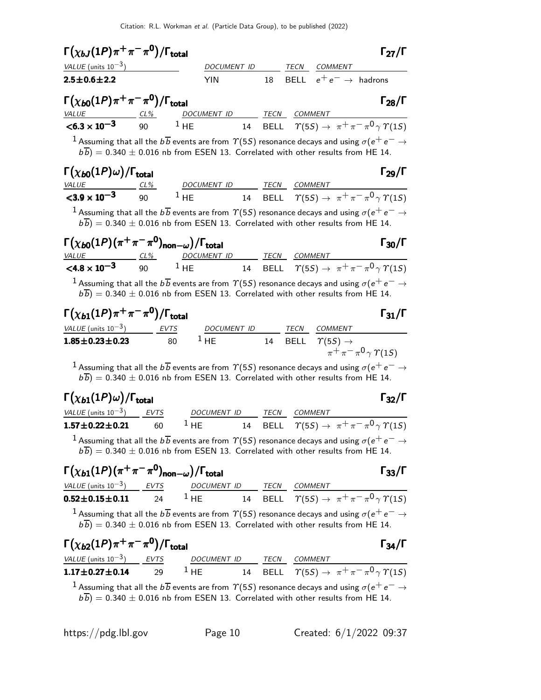| $\Gamma(\chi_{bJ}(1P)\pi^+\pi^-\pi^{\mathbf{0}})/\Gamma_{\text{total}}$                                                                                                                                                                                         |                |                                       |    |      |                                   | $\Gamma_{27}/\Gamma$                                                     |
|-----------------------------------------------------------------------------------------------------------------------------------------------------------------------------------------------------------------------------------------------------------------|----------------|---------------------------------------|----|------|-----------------------------------|--------------------------------------------------------------------------|
| VALUE (units $10^{-3}$ )                                                                                                                                                                                                                                        |                | DOCUMENT ID                           |    |      | TECN COMMENT                      |                                                                          |
| $2.5 \pm 0.6 \pm 2.2$                                                                                                                                                                                                                                           |                | <b>YIN</b>                            |    | 18   | BELL $e^+e^- \rightarrow$ hadrons |                                                                          |
| $\Gamma(\chi_{\bm{b} 0}(1P) \pi^+ \pi^- \pi^0)/\Gamma_{\bm{\mathsf{total}}}$                                                                                                                                                                                    |                |                                       |    |      |                                   | $\Gamma_{28}/\Gamma$                                                     |
| $\frac{VALUE}{5.3 \times 10^{-3}}$ $\frac{CL\%}{90}$                                                                                                                                                                                                            |                | DOCUMENT ID TECN COMMENT              |    |      |                                   |                                                                          |
|                                                                                                                                                                                                                                                                 |                | 1 HE                                  |    |      |                                   | 14 BELL $\tau(55) \rightarrow \pi^+ \pi^- \pi^0 \gamma \gamma(15)$       |
| $b\overline{b}$ ) = 0.340 $\pm$ 0.016 nb from ESEN 13. Correlated with other results from HE 14.                                                                                                                                                                |                |                                       |    |      |                                   |                                                                          |
| $\Gamma(\chi_{b0}(1P)\omega)/\Gamma_{\rm total}$                                                                                                                                                                                                                |                |                                       |    |      |                                   | $\Gamma_{29}/\Gamma$                                                     |
| <i>VALUE</i><br>$<$ 3.9 $\times$ 10 <sup>-3</sup>                                                                                                                                                                                                               | <u>_ CL% _</u> | DOCUMENT ID TECN COMMENT<br>90 $1$ HE |    |      |                                   | 14 BELL $\Upsilon(5S) \rightarrow \pi^+ \pi^- \pi^0 \gamma \Upsilon(1S)$ |
| $b\overline{b}$ ) = 0.340 $\pm$ 0.016 nb from ESEN 13. Correlated with other results from HE 14.                                                                                                                                                                |                |                                       |    |      |                                   |                                                                          |
| $\Gamma(\chi_{b0}(1P)(\pi^+\pi^-\pi^0)_{\mathsf{non}-\omega})/\Gamma_{\mathsf{total}}$                                                                                                                                                                          |                | DOCUMENT ID TECN COMMENT              |    |      |                                   | $\Gamma_{30}/\Gamma$                                                     |
| VALUE CL% DOCUMENT ID TECN COMMENT<br><4.8 x 10 <sup>-3</sup> 90 <sup>1</sup> HE 14 BELL $\gamma(5S) \rightarrow \pi^+ \pi^- \pi^0 \gamma \gamma(1S)$                                                                                                           |                |                                       |    |      |                                   |                                                                          |
| $^{-1}$ Assuming that all the $b\,\overline{b}$ events are from $\varUpsilon(5S)$ resonance decays and using $\sigma(e^+ \, e^- \rightarrow e^-)$<br>$b\overline{b}$ ) = 0.340 $\pm$ 0.016 nb from ESEN 13. Correlated with other results from HE 14.           |                |                                       |    |      |                                   |                                                                          |
| $\Gamma(\chi_{b1}(1P)\pi^+\pi^-\pi^0)/\Gamma_{\rm total}$                                                                                                                                                                                                       |                |                                       |    |      |                                   | $\Gamma_{31}/\Gamma$                                                     |
| VALUE (units $10^{-3}$ ) EVTS                                                                                                                                                                                                                                   |                |                                       |    |      | DOCUMENT ID TECN COMMENT          |                                                                          |
| $1.85 \pm 0.23 \pm 0.23$                                                                                                                                                                                                                                        | 80             | $1$ HE                                |    | 14   | BELL $\Upsilon(5S) \rightarrow$   | $\pi^{+}\pi^{-}\pi^{0}\gamma \gamma(15)$                                 |
| $^1$ Assuming that all the $b\overline{b}$ events are from $\varUpsilon(5S)$ resonance decays and using $\sigma(\mathrm{e^+e^- \rightarrow e^-}$<br>$b\overline{b}$ ) = 0.340 $\pm$ 0.016 nb from ESEN 13. Correlated with other results from HE 14.            |                |                                       |    |      |                                   |                                                                          |
| $\Gamma(\chi_{b1}(1P)\omega)/\Gamma_{\rm total}$                                                                                                                                                                                                                |                |                                       |    |      |                                   | $\Gamma_{32}/\Gamma$                                                     |
| VALUE (units $10^{-3}$ )                                                                                                                                                                                                                                        | <b>EVTS</b>    | <b>DOCUMENT ID</b>                    |    | TECN | <b>COMMENT</b>                    |                                                                          |
| $1.57 \pm 0.22 \pm 0.21$                                                                                                                                                                                                                                        | 60             | $1$ HE                                | 14 |      |                                   | BELL $\Upsilon(5S) \rightarrow \pi^+ \pi^- \pi^0 \gamma \Upsilon(1S)$    |
| $^1$ Assuming that all the $b\overline{b}$ events are from $\varUpsilon(5S)$ resonance decays and using $\sigma(\mathrm{e^+e^-}\to$<br>$b\overline{b}$ ) = 0.340 $\pm$ 0.016 nb from ESEN 13. Correlated with other results from HE 14.                         |                |                                       |    |      |                                   |                                                                          |
| $\Gamma(\chi_{b1}(1P)(\pi^+\pi^-\pi^0)_{\mathsf{non}-\omega})/\Gamma_{\mathsf{total}}$                                                                                                                                                                          |                |                                       |    |      |                                   | $\Gamma_{33}/\Gamma$                                                     |
| <u>VALUE (units 10<sup>-3</sup>)</u> EVTS DOCUMENT ID TECN COMMENT<br><b>0.52±0.15±0.11</b> 24 1 HE 14 BELL $\tau(5S) \to \pi^+ \pi^- \pi^0 \gamma \gamma(1S)$                                                                                                  |                |                                       |    |      |                                   |                                                                          |
| $^{-1}$ Assuming that all the $b\,\overline{b}$ events are from $\varUpsilon(5S)$ resonance decays and using $\sigma(\mathrm{e^+e^-}\to\mathrm{e^-e^-e^-})$<br>$b\overline{b}$ ) = 0.340 $\pm$ 0.016 nb from ESEN 13. Correlated with other results from HE 14. |                |                                       |    |      |                                   |                                                                          |

| $\Gamma(\chi_{b2}(1P)\pi^+\pi^-\pi^0)/\Gamma_{\rm total}$ |    |                               |      | $\Gamma_{34}/\Gamma$                                                                                                                                                                                                                        |
|-----------------------------------------------------------|----|-------------------------------|------|---------------------------------------------------------------------------------------------------------------------------------------------------------------------------------------------------------------------------------------------|
| VALUE (units $10^{-3}$ ) EVTS                             |    | <b>DOCUMENT ID</b>            | TECN | COMMENT                                                                                                                                                                                                                                     |
| $1.17 \pm 0.27 \pm 0.14$                                  | 29 | $^{\perp}$ HE $\qquad \qquad$ |      | 14 BELL $\Upsilon(55) \rightarrow \pi^+ \pi^- \pi^0 \gamma \Upsilon(15)$                                                                                                                                                                    |
|                                                           |    |                               |      | <sup>1</sup> Assuming that all the $b\overline{b}$ events are from $\varUpsilon(5S)$ resonance decays and using $\sigma(e^+e^-\rightarrow e^-$<br>$\overline{L_{h}}$ 0.340   0.016 is from FCFN 12. Completed with other mouths from HF 14. |

 $b(b) = 0.340 \pm 0.016$  nb from ESEN 13. Correlated with other results from HE 14.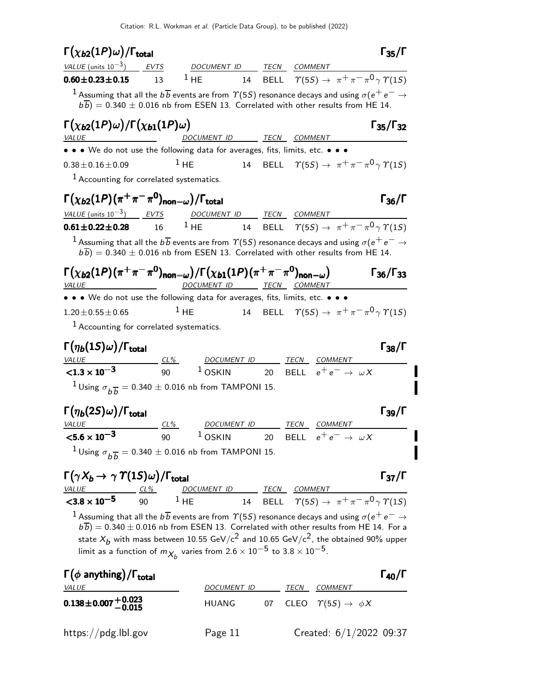| $\Gamma(\chi_{b2}(1P)\omega)/\Gamma_{\rm total}$                                                                                                                                                                                                           |        |                          |                          |                                        | $\Gamma_{35}/\Gamma$                                                                              |
|------------------------------------------------------------------------------------------------------------------------------------------------------------------------------------------------------------------------------------------------------------|--------|--------------------------|--------------------------|----------------------------------------|---------------------------------------------------------------------------------------------------|
| VALUE (units $10^{-3}$ ) EVTS                                                                                                                                                                                                                              |        | DOCUMENT ID TECN COMMENT |                          |                                        |                                                                                                   |
| $0.60 \pm 0.23 \pm 0.15$                                                                                                                                                                                                                                   | 13     |                          |                          |                                        | <sup>1</sup> HE 14 BELL $\Upsilon(5S) \rightarrow \pi^+ \pi^- \pi^0 \gamma \Upsilon(1S)$          |
| $^1$ Assuming that all the $b\overline{b}$ events are from $\varUpsilon(5S)$ resonance decays and using $\sigma(\mathrm{e^+e^-}\to\mathrm{e^-e^-e^-})$<br>$b\overline{b}$ ) = 0.340 $\pm$ 0.016 nb from ESEN 13. Correlated with other results from HE 14. |        |                          |                          |                                        |                                                                                                   |
| $\Gamma(\chi_{b2}(1P)\omega)/\Gamma(\chi_{b1}(1P)\omega)$<br>VALUE PARAGONAL PRODUCTION CONTINUES.                                                                                                                                                         |        | DOCUMENT ID TECN COMMENT |                          |                                        | $\Gamma_{35}/\Gamma_{32}$                                                                         |
| • • • We do not use the following data for averages, fits, limits, etc. • • •                                                                                                                                                                              |        |                          |                          |                                        |                                                                                                   |
| $0.38 \pm 0.16 \pm 0.09$                                                                                                                                                                                                                                   |        | 1 HE                     |                          |                                        | 14 BELL $\Upsilon(5S) \rightarrow \pi^+ \pi^- \pi^0 \gamma \Upsilon(1S)$                          |
| <sup>1</sup> Accounting for correlated systematics.                                                                                                                                                                                                        |        |                          |                          |                                        |                                                                                                   |
| $\Gamma(\chi_{b2}(1P)(\pi^+\pi^-\pi^0)_{\mathsf{non}-\omega})/\Gamma_{\mathsf{total}}$                                                                                                                                                                     |        |                          |                          |                                        | $\Gamma_{36}/\Gamma$                                                                              |
| VALUE (units $10^{-3}$ ) EVTS<br>$0.61 \pm 0.22 \pm 0.28$ 16                                                                                                                                                                                               |        | DOCUMENT ID TECN COMMENT |                          |                                        | <sup>1</sup> HE 14 BELL $\Upsilon(5S) \rightarrow \pi^+ \pi^- \pi^0 \gamma \Upsilon(1S)$          |
|                                                                                                                                                                                                                                                            |        |                          |                          |                                        |                                                                                                   |
| $^{-1}$ Assuming that all the $b\overline{b}$ events are from $\varUpsilon(5S)$ resonance decays and using $\sigma(e^+ \, e^- \to e^-)$<br>$b\overline{b}$ ) = 0.340 $\pm$ 0.016 nb from ESEN 13. Correlated with other results from HE 14.                |        |                          |                          |                                        |                                                                                                   |
| $\Gamma(\chi_{b2}(1P)(\pi^+\pi^-\pi^0)_{\rm non-\omega})/\Gamma(\chi_{b1}(1P)(\pi^+\pi^-\pi^0)_{\rm non-\omega})$<br><i>VALUE</i><br><u> 1989 - Johann Barbara, martin a</u>                                                                               |        | DOCUMENT ID TECN COMMENT |                          |                                        | $\Gamma_{36}/\Gamma_{33}$                                                                         |
| • • • We do not use the following data for averages, fits, limits, etc. • • •                                                                                                                                                                              |        |                          |                          |                                        |                                                                                                   |
| $1.20 \pm 0.55 \pm 0.65$                                                                                                                                                                                                                                   |        | $1$ HE                   |                          |                                        | 14 BELL $\Upsilon(55) \rightarrow \pi^+ \pi^- \pi^0 \gamma \Upsilon(15)$                          |
| <sup>1</sup> Accounting for correlated systematics.                                                                                                                                                                                                        |        |                          |                          |                                        |                                                                                                   |
| $\Gamma(\eta_b(1S)\omega)/\Gamma_{\rm total}$                                                                                                                                                                                                              |        |                          |                          |                                        | $\Gamma_{38}/\Gamma$                                                                              |
| $\frac{VALUE}{1.3 \times 10^{-3}}$ $\frac{CL\%}{90}$ $\frac{DOCUMENT ID}{1.05KIN}$ $\frac{TECN}{20}$ $\frac{COMMENT}{BEL}$ $e^+e^- \rightarrow \omega X$                                                                                                   |        |                          |                          |                                        |                                                                                                   |
|                                                                                                                                                                                                                                                            |        |                          |                          |                                        |                                                                                                   |
| <sup>1</sup> Using $\sigma_{h\overline{h}} = 0.340 \pm 0.016$ nb from TAMPONI 15.                                                                                                                                                                          |        |                          |                          |                                        |                                                                                                   |
| $\Gamma(\eta_b(2S)\omega)/\Gamma_{\rm total}$                                                                                                                                                                                                              |        |                          |                          |                                        | $\Gamma_{39}/\Gamma$                                                                              |
| <i>VALUE</i>                                                                                                                                                                                                                                               | $CL\%$ | DOCUMENT ID TECN COMMENT |                          |                                        |                                                                                                   |
| ${<}5.6 \times 10^{-3}$                                                                                                                                                                                                                                    |        |                          |                          |                                        | <sup>1</sup> OSKIN 20 BELL $e^+e^- \rightarrow \omega X$                                          |
| <sup>1</sup> Using $\sigma_{h\overline{h}} = 0.340 \pm 0.016$ nb from TAMPONI 15.                                                                                                                                                                          |        |                          |                          |                                        |                                                                                                   |
| $\Gamma(\gamma X_b \to \gamma \; \gamma(1S)\omega)/\Gamma_{\rm total}$                                                                                                                                                                                     |        |                          |                          |                                        | $\Gamma_{37}/\Gamma$                                                                              |
| $\frac{VALUE}{< 3.8 \times 10^{-5}}$ $\frac{CL\%}{90}$                                                                                                                                                                                                     |        |                          |                          |                                        | DOCUMENT ID TECN COMMENT<br>1 HE 14 BELL $\tau(5S) \rightarrow \pi^+ \pi^- \pi^0 \gamma \tau(1S)$ |
|                                                                                                                                                                                                                                                            |        |                          |                          |                                        |                                                                                                   |
| $^1$ Assuming that all the $b\overline{b}$ events are from $\varUpsilon(5S)$ resonance decays and using $\sigma(\mathrm{e^+e^- \rightarrow e^-}$<br>$b\overline{b}$ ) = 0.340 $\pm$ 0.016 nb from ESEN 13. Correlated with other results from HE 14. For a |        |                          |                          |                                        |                                                                                                   |
| state $X_b$ with mass between 10.55 GeV/c <sup>2</sup> and 10.65 GeV/c <sup>2</sup> , the obtained 90% upper                                                                                                                                               |        |                          |                          |                                        |                                                                                                   |
| limit as a function of $m_{X_h}$ varies from $2.6 \times 10^{-5}$ to $3.8 \times 10^{-5}$ .                                                                                                                                                                |        |                          |                          |                                        |                                                                                                   |
| $\Gamma(\phi \text{ anything})/\Gamma_{\text{total}}$                                                                                                                                                                                                      |        |                          |                          |                                        | $\Gamma_{40}/\Gamma$                                                                              |
| VALUE                                                                                                                                                                                                                                                      |        |                          | DOCUMENT ID TECN COMMENT |                                        |                                                                                                   |
| $0.138 \pm 0.007 + 0.023$<br>-0.015                                                                                                                                                                                                                        |        | <b>HUANG</b>             | 07                       | CLEO $\Upsilon(5S) \rightarrow \phi X$ |                                                                                                   |

 $\mathbf{I}$ 

I Ī

https://pdg.lbl.gov Page 11 Created: 6/1/2022 09:37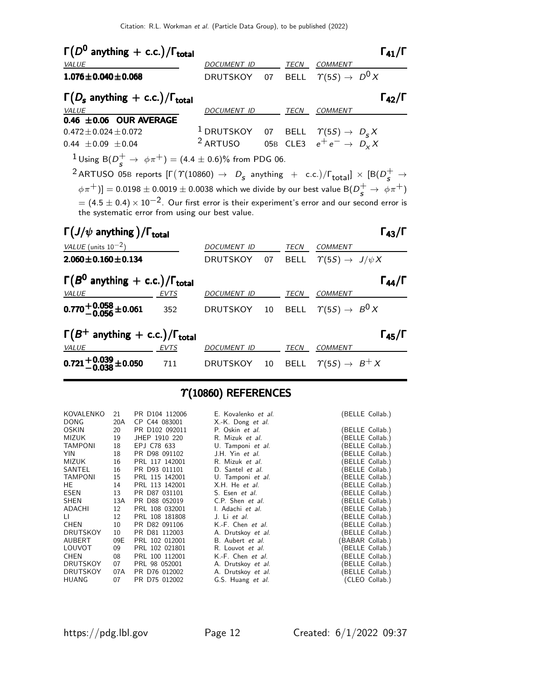| $\Gamma(D^0$ anything + c.c.)/ $\Gamma_{total}$                                                                                                                                                                                                                                                                                                                                                                                                                                                                                         |     | DOCUMENT ID TECN COMMENT                                                                                                  |      |         | $\Gamma_{41}/\Gamma$ |
|-----------------------------------------------------------------------------------------------------------------------------------------------------------------------------------------------------------------------------------------------------------------------------------------------------------------------------------------------------------------------------------------------------------------------------------------------------------------------------------------------------------------------------------------|-----|---------------------------------------------------------------------------------------------------------------------------|------|---------|----------------------|
| VALUE<br>$1.076 \pm 0.040 \pm 0.068$                                                                                                                                                                                                                                                                                                                                                                                                                                                                                                    |     | DRUTSKOY 07 BELL $\Upsilon(5S) \rightarrow D^0 X$                                                                         |      |         |                      |
| $\Gamma(D_{s}$ anything + c.c.)/ $\Gamma_{total}$<br>VALUE                                                                                                                                                                                                                                                                                                                                                                                                                                                                              |     | DOCUMENT ID TECN COMMENT                                                                                                  |      |         | $\Gamma_{42}/\Gamma$ |
| 0.46 $\pm$ 0.06 OUR AVERAGE<br>$0.472 \pm 0.024 \pm 0.072$<br>$0.44 \pm 0.09 \pm 0.04$                                                                                                                                                                                                                                                                                                                                                                                                                                                  |     | <sup>1</sup> DRUTSKOY 07 BELL $\Upsilon(5S) \rightarrow D_s X$<br><sup>2</sup> ARTUSO 05B CLE3 $e^+e^- \rightarrow D_x X$ |      |         |                      |
| <sup>1</sup> Using B( $D_s^+ \to \phi \pi^+$ ) = (4.4 ± 0.6)% from PDG 06.<br><sup>2</sup> ARTUSO 05B reports $[\Gamma(\Upsilon(10860) \rightarrow D_s \text{ anything } + \text{ c.c.})/\Gamma_{\text{total}}] \times [B(D_s^+ \rightarrow$<br>$(\phi \pi^+)] = 0.0198 \pm 0.0019 \pm 0.0038$ which we divide by our best value B $(D_s^+ \rightarrow \phi \pi^+)$<br>$\sigma = (4.5 \pm 0.4) \times 10^{-2}$ . Our first error is their experiment's error and our second error is<br>the systematic error from using our best value. |     |                                                                                                                           |      |         |                      |
| $\Gamma(J/\psi$ anything )/ $\Gamma_{\text{total}}$<br>VALUE (units $10^{-2}$ )                                                                                                                                                                                                                                                                                                                                                                                                                                                         |     | DOCUMENT ID TECN COMMENT                                                                                                  |      |         | $\Gamma_{43}/\Gamma$ |
| $2.060 \pm 0.160 \pm 0.134$                                                                                                                                                                                                                                                                                                                                                                                                                                                                                                             |     | DRUTSKOY 07 BELL $\Upsilon(5S) \rightarrow J/\psi X$                                                                      |      |         |                      |
| $\Gamma(B^0$ anything + c.c.)/ $\Gamma_{total}$<br>VALUE<br>EVTS                                                                                                                                                                                                                                                                                                                                                                                                                                                                        |     | DOCUMENT ID TECN COMMENT                                                                                                  |      |         | $\Gamma_{44}/\Gamma$ |
| $0.770 + 0.058 + 0.061$                                                                                                                                                                                                                                                                                                                                                                                                                                                                                                                 | 352 | DRUTSKOY 10 BELL $\varUpsilon(5S) \to \, B^0 \, X$                                                                        |      |         |                      |
| $\Gamma(B^+$ anything + c.c.)/ $\Gamma_{total}$<br><i>VALUE</i><br>EVTS DOCUMENT ID                                                                                                                                                                                                                                                                                                                                                                                                                                                     |     |                                                                                                                           | TECN | COMMENT | $\Gamma_{45}/\Gamma$ |

# $\Upsilon(10860)$  REFERENCES

711 DRUTSKOY 10 BELL  $\Upsilon(5S) \rightarrow B^{+}X$ 

| KOVALENKO<br><b>DONG</b> | 21<br>20A | PR D104 112006<br>CP C44 083001 | E. Kovalenko et al.<br>X.-K. Dong et al. |                 | (BELLE Collab.)                  |
|--------------------------|-----------|---------------------------------|------------------------------------------|-----------------|----------------------------------|
| <b>OSKIN</b><br>MIZUK    | 20<br>19  | PR D102 092011<br>JHEP 1910 220 | P. Oskin et al.<br>R. Mizuk et al.       |                 | BELLE Collab.)<br>BELLE Collab.) |
| <b>TAMPONI</b>           | 18        | EPJ C78 633                     | U. Tamponi et al.                        |                 | BELLE Collab.)                   |
| YIN.                     | 18        | PR D98 091102                   | J.H. Yin et al.                          |                 | BELLE Collab.)                   |
| <b>MIZUK</b>             | 16        | PRL 117 142001                  | R. Mizuk et al.                          |                 | BELLE Collab.)                   |
| SANTEL                   | 16        | PR D93 011101                   | D. Santel et al.                         |                 | BELLE Collab.)                   |
| <b>TAMPONI</b>           | 15        | PRL 115 142001                  | U. Tamponi et al.                        |                 | BELLE Collab.)                   |
| HE.                      | 14        | PRL 113 142001                  | X.H. He et al.                           |                 | BELLE Collab.)                   |
| ESEN                     | 13        | PR D87 031101                   | S. Esen et al.                           |                 | BELLE Collab.)                   |
| <b>SHEN</b>              | 13A       | PR D88 052019                   | C.P. Shen et al.                         |                 | BELLE Collab.)                   |
| ADACHI                   | 12        | PRL 108 032001                  | I. Adachi et al.                         |                 | BELLE Collab.)                   |
| LI.                      | 12        | PRL 108 181808                  | J. Li et al.                             |                 | BELLE Collab.)                   |
| <b>CHEN</b>              | 10        | PR D82 091106                   | K.-F. Chen et al.                        |                 | BELLE Collab.)                   |
| <b>DRUTSKOY</b>          | 10        | PR D81 112003                   | A. Drutskoy et al.                       |                 | BELLE Collab.)                   |
| AUBERT                   | 09E       | PRL 102 012001                  | B. Aubert et al.                         | (BABAR Collab.) |                                  |
| LOUVOT                   | 09        | PRL 102 021801                  | R. Louvot et al.                         |                 | BELLE Collab.)                   |
| <b>CHEN</b>              | 08        | PRL 100 112001                  | K.-F. Chen et al.                        |                 | BELLE Collab.)                   |
| <b>DRUTSKOY</b>          | 07        | PRL 98 052001                   | A. Drutskoy et al.                       |                 | BELLE Collab.)                   |
| <b>DRUTSKOY</b>          | 07A       | PR D76 012002                   | A. Drutskoy et al.                       |                 | BELLE Collab.)                   |
| <b>HUANG</b>             | 07        | PR D75 012002                   | G.S. Huang et al.                        |                 | (CLEO Collab.)                   |

 $\mathrm{0.721}^{+0.039}_{-0.038} \pm 0.050$